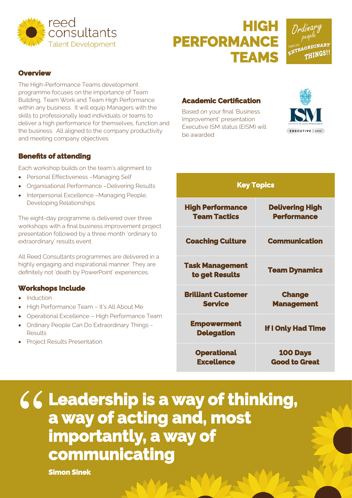

# **HIGH PERFORMANCE TEAMS**

∞ (<br>FRAORDINARI THINGS!

#### **Overview**

The High-Performance Teams development programme focuses on the importance of Team Building, Team Work and Team High Performance within any business. It will equip Managers with the skills to professionally lead individuals or teams to deliver a high performance for themselves, function and the business. All aligned to the company productivity and meeting company objectives.

### **Benefits of attending**

Each workshop builds on the team's alignment to:

- Personal Effectiveness –Managing Self
- Organisational Performance –Delivering Results
- Interpersonal Excellence -Managing People, Developing Relationships

The eight-day programme is delivered over three workshops with a final business improvement project presentation followed by a three month 'ordinary to extraordinary' results event.

All Reed Consultants programmes are delivered in a highly engaging and inspirational manner. They are definitely not 'death by PowerPoint' experiences.

### **Workshops Include**

- Induction
- High Performance Team It's All About Me
- Operational Excellence High Performance Team
- Ordinary People Can Do Extraordinary Things Results
- **Project Results Presentation**

### **Academic Certification**

 Based on your final 'Business Improvement' presentation Executive ISM status (EISM) will be awarded



| <b>Key Topics</b>                              |                                              |
|------------------------------------------------|----------------------------------------------|
| <b>High Performance</b><br><b>Team Tactics</b> | <b>Delivering High</b><br><b>Performance</b> |
| <b>Coaching Culture</b>                        | <b>Communication</b>                         |
| <b>Task Management</b><br>to get Results       | <b>Team Dynamics</b>                         |
| <b>Brilliant Customer</b><br><b>Service</b>    | <b>Change</b><br><b>Management</b>           |
| <b>Empowerment</b><br><b>Delegation</b>        | <b>If I Only Had Time</b>                    |
| <b>Operational</b><br><b>Excellence</b>        | <b>100 Days</b><br><b>Good to Great</b>      |

**Leadership is a way of thinking, a way of acting and, most importantly, a way of communicating**  "

**Simon Sinek**